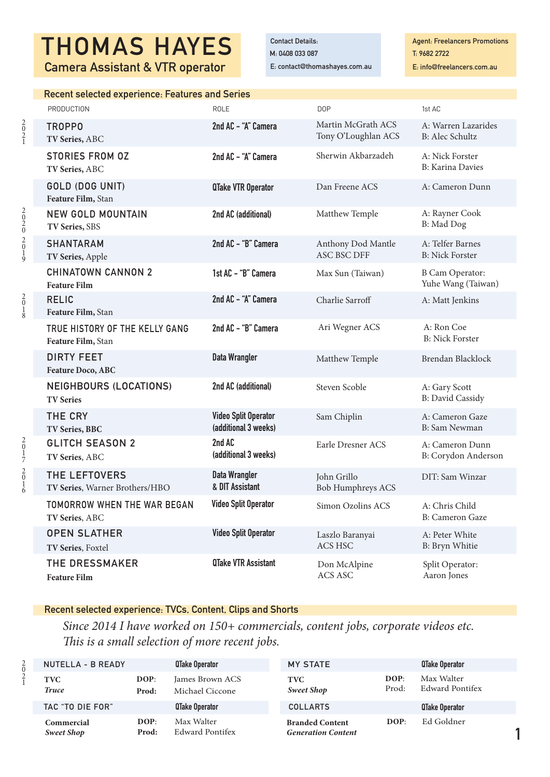# THOMAS HAYES MANAGEDetails: Camera Assistant & VTR operator

E: contact@thomashayes.com.au

**Agent: Freelancers Promotions** T: 9682 2722 E: info@freelancers.com.au

1

| <b>Recent selected experience: Features and Series</b> |                                                     |                                           |                                               |
|--------------------------------------------------------|-----------------------------------------------------|-------------------------------------------|-----------------------------------------------|
| <b>PRODUCTION</b>                                      | <b>ROLE</b>                                         | <b>DOP</b>                                | 1st AC                                        |
| <b>TROPPO</b><br>TV Series, ABC                        | 2nd AC - "A" Camera                                 | Martin McGrath ACS<br>Tony O'Loughlan ACS | A: Warren Lazarides<br><b>B:</b> Alec Schultz |
| <b>STORIES FROM OZ</b><br>TV Series, ABC               | 2nd AC - "A" Camera                                 | Sherwin Akbarzadeh                        | A: Nick Forster<br><b>B:</b> Karina Davies    |
| GOLD (DOG UNIT)<br>Feature Film, Stan                  | <b>QTake VTR Operator</b>                           | Dan Freene ACS                            | A: Cameron Dunn                               |
| <b>NEW GOLD MOUNTAIN</b><br>TV Series, SBS             | 2nd AC (additional)                                 | Matthew Temple                            | A: Rayner Cook<br>B: Mad Dog                  |
| <b>SHANTARAM</b><br>TV Series, Apple                   | 2nd AC - "B" Camera                                 | Anthony Dod Mantle<br><b>ASC BSC DFF</b>  | A: Telfer Barnes<br><b>B:</b> Nick Forster    |
| <b>CHINATOWN CANNON 2</b><br><b>Feature Film</b>       | 1st AC - "B" Camera                                 | Max Sun (Taiwan)                          | <b>B Cam Operator:</b><br>Yuhe Wang (Taiwan)  |
| <b>RELIC</b><br>Feature Film, Stan                     | 2nd AC - "A" Camera                                 | Charlie Sarroff                           | A: Matt Jenkins                               |
| TRUE HISTORY OF THE KELLY GANG<br>Feature Film, Stan   | 2nd AC - "B" Camera                                 | Ari Wegner ACS                            | A: Ron Coe<br><b>B: Nick Forster</b>          |
| <b>DIRTY FEET</b><br>Feature Doco, ABC                 | <b>Data Wrangler</b>                                | Matthew Temple                            | Brendan Blacklock                             |
| <b>NEIGHBOURS (LOCATIONS)</b><br><b>TV Series</b>      | 2nd AC (additional)                                 | Steven Scoble                             | A: Gary Scott<br><b>B: David Cassidy</b>      |
| <b>THE CRY</b><br>TV Series, BBC                       | <b>Video Split Operator</b><br>(additional 3 weeks) | Sam Chiplin                               | A: Cameron Gaze<br><b>B:</b> Sam Newman       |
| <b>GLITCH SEASON 2</b><br>TV Series, ABC               | 2nd AC<br>(additional 3 weeks)                      | Earle Dresner ACS                         | A: Cameron Dunn<br>B: Corydon Anderson        |
| THE LEFTOVERS<br>TV Series, Warner Brothers/HBO        | <b>Data Wrangler</b><br>& DIT Assistant             | John Grillo<br><b>Bob Humphreys ACS</b>   | DIT: Sam Winzar                               |
| TOMORROW WHEN THE WAR BEGAN<br>TV Series, ABC          | <b>Video Split Operator</b>                         | Simon Ozolins ACS                         | A: Chris Child<br>B: Cameron Gaze             |
| <b>OPEN SLATHER</b><br>TV Series, Foxtel               | <b>Video Split Operator</b>                         | Laszlo Baranyai<br>ACS HSC                | A: Peter White<br>B: Bryn Whitie              |
| <b>THE DRESSMAKER</b><br><b>Feature Film</b>           | <b>QTake VTR Assistant</b>                          | Don McAlpine<br>ACS ASC                   | Split Operator:<br>Aaron Jones                |

# Recent selected experience: TVCs, Content, Clips and Shorts

 *Since 2014 I have worked on 150+ commercials, content jobs, corporate videos etc. This is a small selection of more recent jobs.*

| NUTELLA - B READY               |               | <b>QTake Operator</b>              | <b>MY STATE</b>                                     |               | QTake Operator                |
|---------------------------------|---------------|------------------------------------|-----------------------------------------------------|---------------|-------------------------------|
| <b>TVC</b><br><b>Truce</b>      | DOP:<br>Prod: | James Brown ACS<br>Michael Ciccone | <b>TVC</b><br><b>Sweet Shop</b>                     | DOP:<br>Prod: | Max Walter<br>Edward Pontifex |
| TAC "TO DIE FOR"                |               | <b>QTake Operator</b>              | <b>COLLARTS</b>                                     |               | <b>QTake Operator</b>         |
| Commercial<br><b>Sweet Shop</b> | DOP:<br>Prod: | Max Walter<br>Edward Pontifex      | <b>Branded Content</b><br><b>Generation Content</b> | DOP:          | Ed Goldner                    |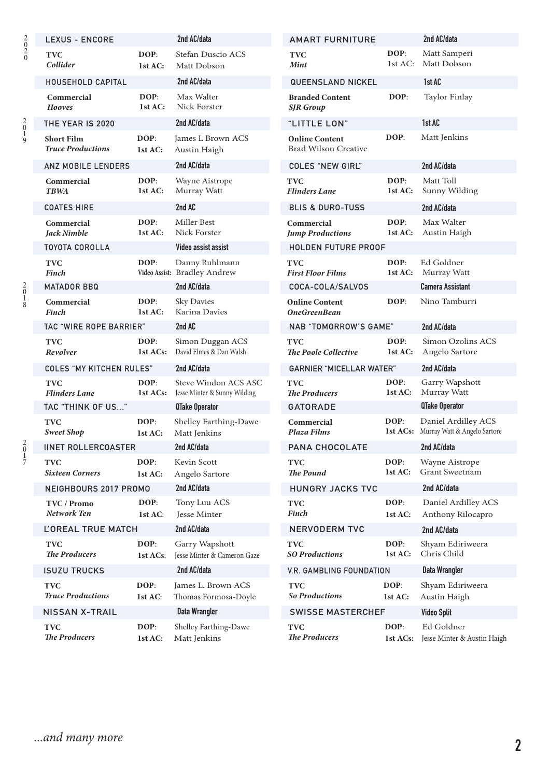|                                                | <b>LEXUS - ENCORE</b>                         |                  | 2nd AC/data                                          | <b>AMART FURNITURE</b>                               |                  | 2nd AC/data                                                  |
|------------------------------------------------|-----------------------------------------------|------------------|------------------------------------------------------|------------------------------------------------------|------------------|--------------------------------------------------------------|
| $\begin{smallmatrix} 2\0\2\0\end{smallmatrix}$ | <b>TVC</b><br>Collider                        | DOP:<br>1st AC:  | Stefan Duscio ACS<br>Matt Dobson                     | <b>TVC</b><br><b>Mint</b>                            | DOP:<br>1st AC:  | Matt Samperi<br>Matt Dobson                                  |
|                                                | HOUSEHOLD CAPITAL                             |                  | 2nd AC/data                                          | <b>QUEENSLAND NICKEL</b>                             |                  | 1st AC                                                       |
|                                                | Commercial<br>Hooves                          | DOP:<br>1st AC:  | Max Walter<br>Nick Forster                           | <b>Branded Content</b><br><b>SJR</b> Group           | DOP:             | Taylor Finlay                                                |
| $\frac{2}{0}$<br>ر<br>9                        | THE YEAR IS 2020                              |                  | 2nd AC/data                                          | "LITTLE LON"                                         |                  | 1st AC                                                       |
|                                                | <b>Short Film</b><br><b>Truce Productions</b> | DOP:<br>1st AC:  | James L Brown ACS<br>Austin Haigh                    | <b>Online Content</b><br><b>Brad Wilson Creative</b> | DOP:             | Matt Jenkins                                                 |
|                                                | <b>ANZ MOBILE LENDERS</b>                     |                  | 2nd AC/data                                          | <b>COLES "NEW GIRL"</b>                              |                  | 2nd AC/data                                                  |
|                                                | Commercial<br><b>TBWA</b>                     | DOP:<br>1st AC:  | Wayne Aistrope<br>Murray Watt                        | <b>TVC</b><br><b>Flinders Lane</b>                   | DOP:<br>1st AC:  | Matt Toll<br>Sunny Wilding                                   |
|                                                | <b>COATES HIRE</b>                            |                  | 2nd AC                                               | <b>BLIS &amp; DURO-TUSS</b>                          |                  | 2nd AC/data                                                  |
|                                                | Commercial<br>Jack Nimble                     | DOP:<br>1st AC:  | Miller Best<br>Nick Forster                          | Commercial<br><b>Jump Productions</b>                | DOP:<br>1st AC:  | Max Walter<br>Austin Haigh                                   |
|                                                | <b>TOYOTA COROLLA</b>                         |                  | Video assist assist                                  | <b>HOLDEN FUTURE PROOF</b>                           |                  |                                                              |
|                                                | <b>TVC</b><br>Finch                           | DOP:             | Danny Ruhlmann<br>Video Assist: Bradley Andrew       | <b>TVC</b><br><b>First Floor Films</b>               | DOP:<br>1st AC:  | Ed Goldner<br>Murray Watt                                    |
| 20<br>1<br>8                                   | <b>MATADOR BBQ</b>                            |                  | 2nd AC/data                                          | COCA-COLA/SALVOS                                     |                  | <b>Camera Assistant</b>                                      |
|                                                | Commercial<br>Finch                           | DOP:<br>1st AC:  | Sky Davies<br>Karina Davies                          | <b>Online Content</b><br><b>OneGreenBean</b>         | DOP:             | Nino Tamburri                                                |
|                                                | <b>TAC "WIRE ROPE BARRIER"</b>                |                  | 2nd AC                                               | <b>NAB "TOMORROW'S GAME"</b>                         |                  | 2nd AC/data                                                  |
|                                                | <b>TVC</b><br>Revolver                        | DOP:<br>1st ACs: | Simon Duggan ACS<br>David Elmes & Dan Walsh          | <b>TVC</b><br><b>The Poole Collective</b>            | DOP:<br>1st AC:  | Simon Ozolins ACS<br>Angelo Sartore                          |
|                                                | <b>COLES "MY KITCHEN RULES"</b>               |                  | 2nd AC/data                                          | <b>GARNIER "MICELLAR WATER"</b>                      |                  | 2nd AC/data                                                  |
|                                                | <b>TVC</b><br><b>Flinders Lane</b>            | DOP:<br>1st ACs: | Steve Windon ACS ASC<br>Jesse Minter & Sunny Wilding | <b>TVC</b><br><b>The Producers</b>                   | DOP:<br>1st AC:  | Garry Wapshott<br>Murray Watt                                |
|                                                | TAC "THINK OF US"                             |                  | <b>QTake Operator</b>                                | <b>GATORADE</b>                                      |                  | <b>QTake Operator</b>                                        |
|                                                | <b>TVC</b><br><b>Sweet Shop</b>               | DOP:<br>1st AC:  | Shelley Farthing-Dawe<br>Matt Jenkins                | Commercial<br>Plaza Films                            | DOP:             | Daniel Ardilley ACS<br>1st ACs: Murray Watt & Angelo Sartore |
| $\frac{2}{0}$                                  | <b>IINET ROLLERCOASTER</b>                    |                  | 2nd AC/data                                          | PANA CHOCOLATE                                       |                  | 2nd AC/data                                                  |
| $\frac{1}{7}$                                  | <b>TVC</b><br><b>Sixteen Corners</b>          | DOP:<br>1st AC:  | Kevin Scott<br>Angelo Sartore                        | <b>TVC</b><br>The Pound                              | DOP:<br>1st AC:  | Wayne Aistrope<br>Grant Sweetnam                             |
|                                                | NEIGHBOURS 2017 PROMO                         |                  | 2nd AC/data                                          | HUNGRY JACKS TVC                                     |                  | 2nd AC/data                                                  |
|                                                | TVC / Promo<br>Network Ten                    | DOP:<br>1st AC:  | Tony Luu ACS<br>Jesse Minter                         | <b>TVC</b><br><b>Finch</b>                           | DOP:<br>1st AC:  | Daniel Ardilley ACS<br>Anthony Rilocapro                     |
|                                                | <b>L'OREAL TRUE MATCH</b>                     |                  | 2nd AC/data                                          | <b>NERVODERM TVC</b>                                 |                  | 2nd AC/data                                                  |
|                                                | <b>TVC</b><br><b>The Producers</b>            | DOP:<br>1st ACs: | Garry Wapshott<br>Jesse Minter & Cameron Gaze        | <b>TVC</b><br><b>SO Productions</b>                  | DOP:<br>1st AC:  | Shyam Ediriweera<br>Chris Child                              |
|                                                | <b>ISUZU TRUCKS</b>                           |                  | 2nd AC/data                                          | V.R. GAMBLING FOUNDATION                             |                  | <b>Data Wrangler</b>                                         |
|                                                | <b>TVC</b><br><b>Truce Productions</b>        | DOP:<br>1st AC:  | James L. Brown ACS<br>Thomas Formosa-Doyle           | <b>TVC</b><br><b>So Productions</b>                  | DOP:<br>1st AC:  | Shyam Ediriweera<br>Austin Haigh                             |
|                                                | <b>NISSAN X-TRAIL</b>                         |                  | <b>Data Wrangler</b>                                 | <b>SWISSE MASTERCHEF</b><br><b>Video Split</b>       |                  |                                                              |
|                                                | <b>TVC</b><br><b>The Producers</b>            | DOP:<br>1st AC:  | Shelley Farthing-Dawe<br>Matt Jenkins                | <b>TVC</b><br><b>The Producers</b>                   | DOP:<br>1st ACs: | Ed Goldner<br>Jesse Minter & Austin Haigh                    |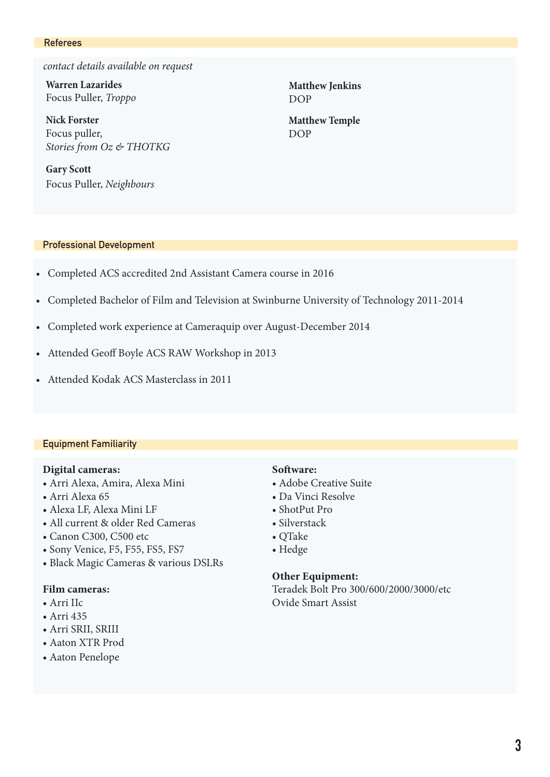#### Referees

*contact details available on request*

**Warren Lazarides** Focus Puller, *Troppo*

**Nick Forster** Focus puller, *Stories from Oz & THOTKG*

**Gary Scott** Focus Puller, *Neighbours*

#### Professional Development

- Completed ACS accredited 2nd Assistant Camera course in 2016
- Completed Bachelor of Film and Television at Swinburne University of Technology 2011-2014
- Completed work experience at Cameraquip over August-December 2014
- Attended Geoff Boyle ACS RAW Workshop in 2013
- Attended Kodak ACS Masterclass in 2011

#### Equipment Familiarity

## **Digital cameras:**

- Arri Alexa, Amira, Alexa Mini
- Arri Alexa 65
- Alexa LF, Alexa Mini LF
- All current & older Red Cameras
- Canon C300, C500 etc
- Sony Venice, F5, F55, FS5, FS7
- Black Magic Cameras & various DSLRs

## **Film cameras:**

- Arri IIc
- Arri 435
- Arri SRII, SRIII
- Aaton XTR Prod
- Aaton Penelope

#### **Software:**

- Adobe Creative Suite
- Da Vinci Resolve
- ShotPut Pro
- Silverstack
- QTake
- Hedge

### **Other Equipment:**

Teradek Bolt Pro 300/600/2000/3000/etc Ovide Smart Assist

**Matthew Jenkins** DOP

**Matthew Temple** DOP